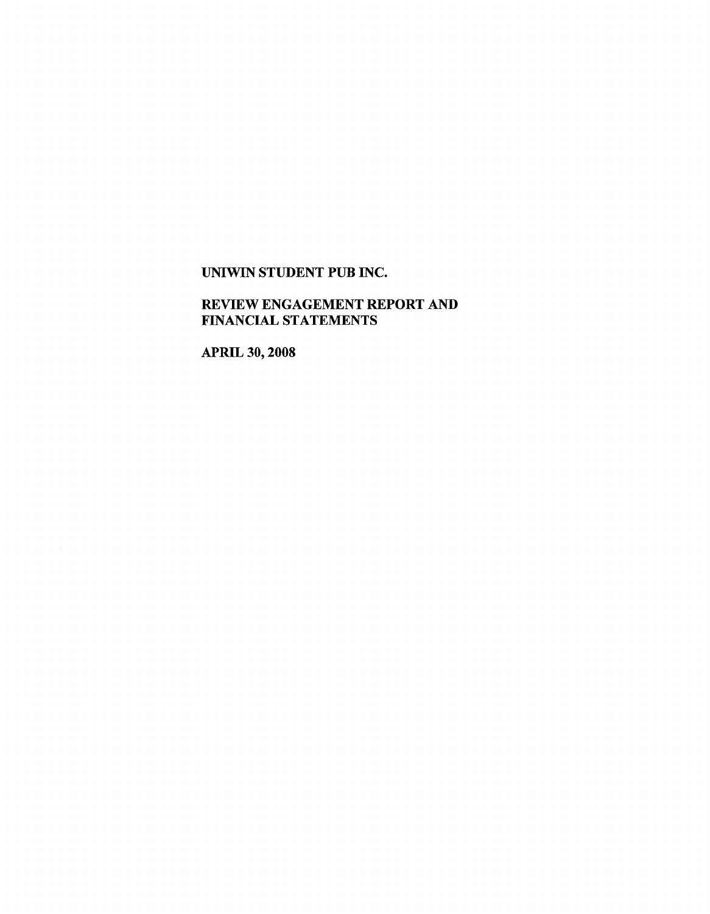## REVIEW ENGAGEMENT REPORT AND FINANCIAL STATEMENTS

APRIL 30, 2008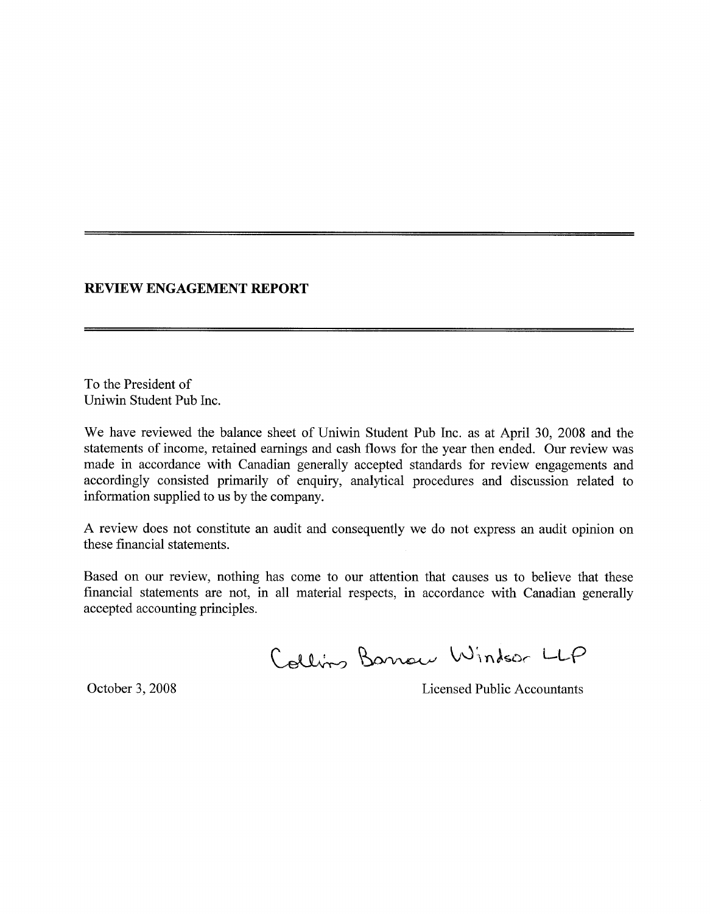## **REVIEW ENGAGEMENT REPORT**

To the President of Uniwin Student Pub Inc.

We have reviewed the balance sheet of Uniwin Student Pub Inc. as at April 30, 2008 and the statements of income, retained earnings and cash flows for the year then ended. Our review was made in accordance with Canadian generally accepted standards for review engagements and accordingly consisted primarily of enquiry, analytical procedures and discussion related to information supplied to us by the company.

A review does not constitute an audit and consequently we do not express an audit opinion on these financial statements.

Based on our review, nothing has come to our attention that causes us to believe that these financial statements are not, in all material respects, in accordance with Canadian generally accepted accounting principles.

Collins Barrow Windsor LLP

October 3, 2008 Licensed Public Accountants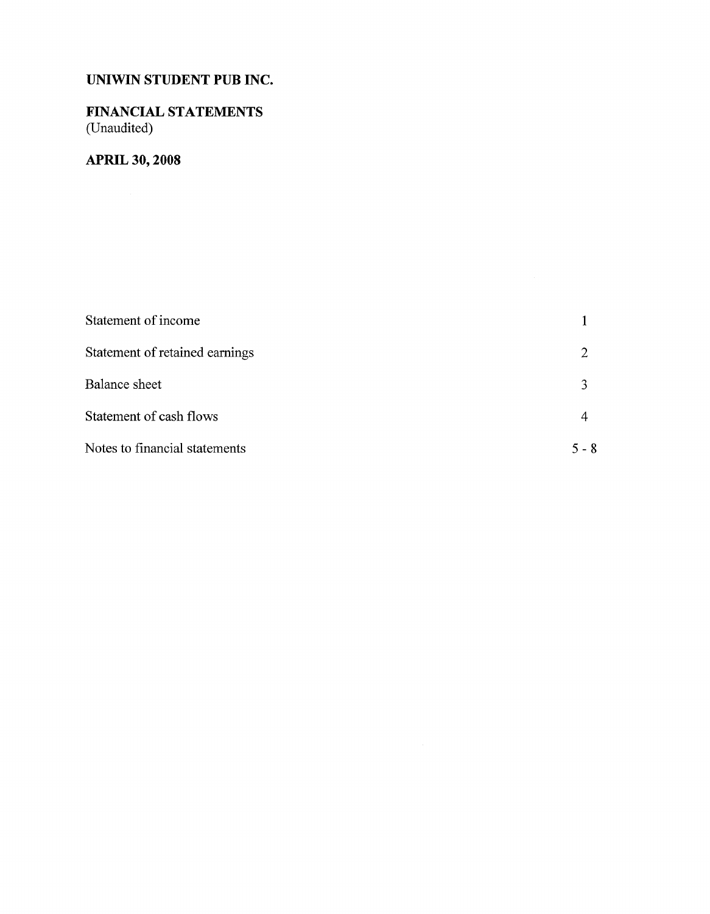# FINANCIAL STATEMENTS (Unaudited)

# **APRIL 30, 2008**

| Statement of income            |       |
|--------------------------------|-------|
| Statement of retained earnings |       |
| Balance sheet                  |       |
| Statement of cash flows        |       |
| Notes to financial statements  | 5 - 8 |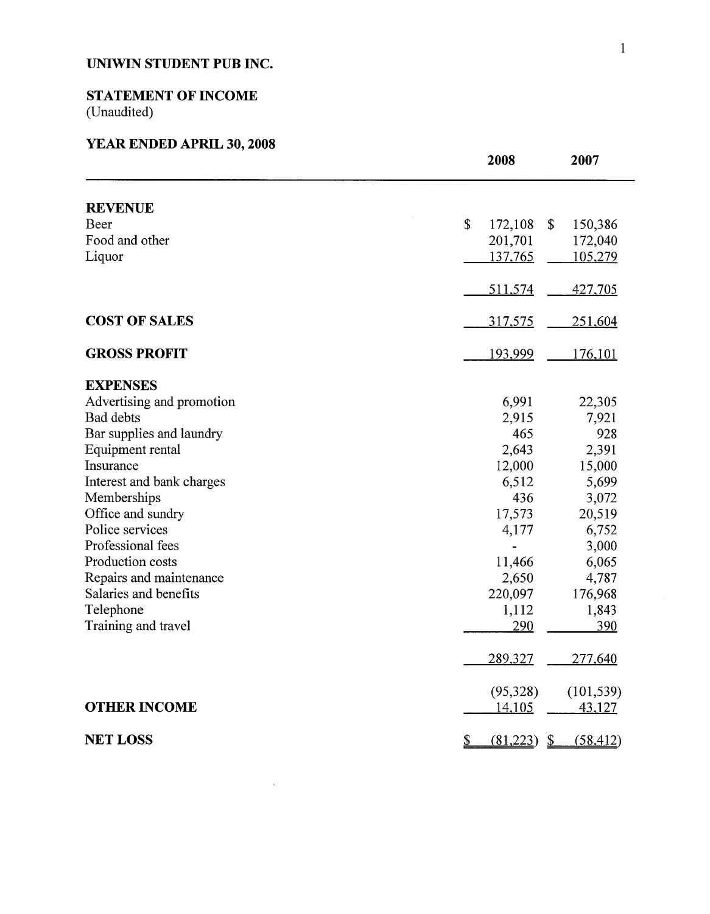# **STATEMENT OF INCOME**

(Unaudited)

# **YEAR ENDED APRIL 30, 2008**

|                           |                | 2008          | 2007                           |
|---------------------------|----------------|---------------|--------------------------------|
| <b>REVENUE</b>            |                |               |                                |
| Beer                      | \$             | 172,108       | \$<br>150,386                  |
| Food and other            |                | 201,701       | 172,040                        |
| Liquor                    |                | 137,765       | 105,279                        |
|                           |                |               |                                |
|                           |                | 511,574       | <u>427,705</u>                 |
| <b>COST OF SALES</b>      |                | 317,575       | 251,604                        |
| <b>GROSS PROFIT</b>       |                | 193,999       | <u>176,101</u>                 |
| <b>EXPENSES</b>           |                |               |                                |
| Advertising and promotion |                | 6,991         | 22,305                         |
| <b>Bad debts</b>          |                | 2,915         | 7,921                          |
| Bar supplies and laundry  |                | 465           | 928                            |
| Equipment rental          |                | 2,643         | 2,391                          |
| Insurance                 |                | 12,000        | 15,000                         |
| Interest and bank charges |                | 6,512         | 5,699                          |
| Memberships               |                | 436           | 3,072                          |
| Office and sundry         |                | 17,573        | 20,519                         |
| Police services           |                | 4,177         | 6,752                          |
| Professional fees         |                |               | 3,000                          |
| Production costs          |                | 11,466        | 6,065                          |
| Repairs and maintenance   |                | 2,650         | 4,787                          |
| Salaries and benefits     |                | 220,097       | 176,968                        |
| Telephone                 |                | 1,112         | 1,843                          |
| Training and travel       |                | 290           | 390                            |
|                           |                | 289,327       | 277,640                        |
|                           |                | (95,328)      | (101, 539)                     |
| <b>OTHER INCOME</b>       |                | <u>14,105</u> | 43,127                         |
| <b>NET LOSS</b>           | $\overline{2}$ | (81,223)      | $\mathbf{\Sigma}$<br>(58, 412) |

 $\hat{\boldsymbol{\beta}}$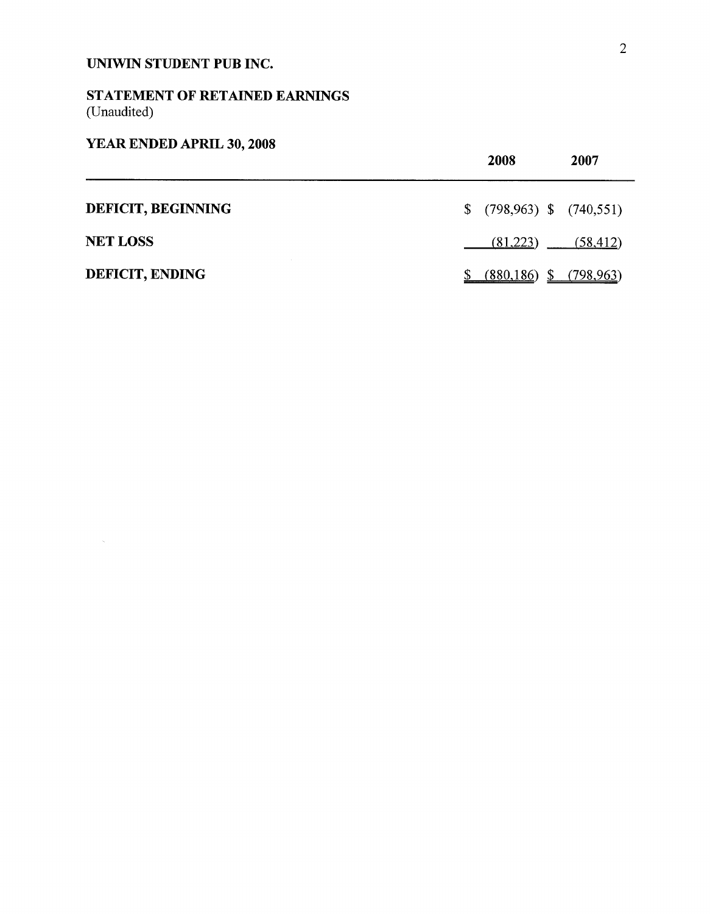# STATEMENT OF RETAINED EARNINGS (Unaudited)

# YEAR ENDED APRIL 30, 2008

 $\hat{\mathcal{A}}$ 

|                           | 2008<br>2007                 |  |
|---------------------------|------------------------------|--|
| <b>DEFICIT, BEGINNING</b> | $$$ (798,963) \$ (740,551)   |  |
| <b>NET LOSS</b>           | $(81,223)$ $(58,412)$        |  |
| <b>DEFICIT, ENDING</b>    | $(880, 186)$ \$ $(798, 963)$ |  |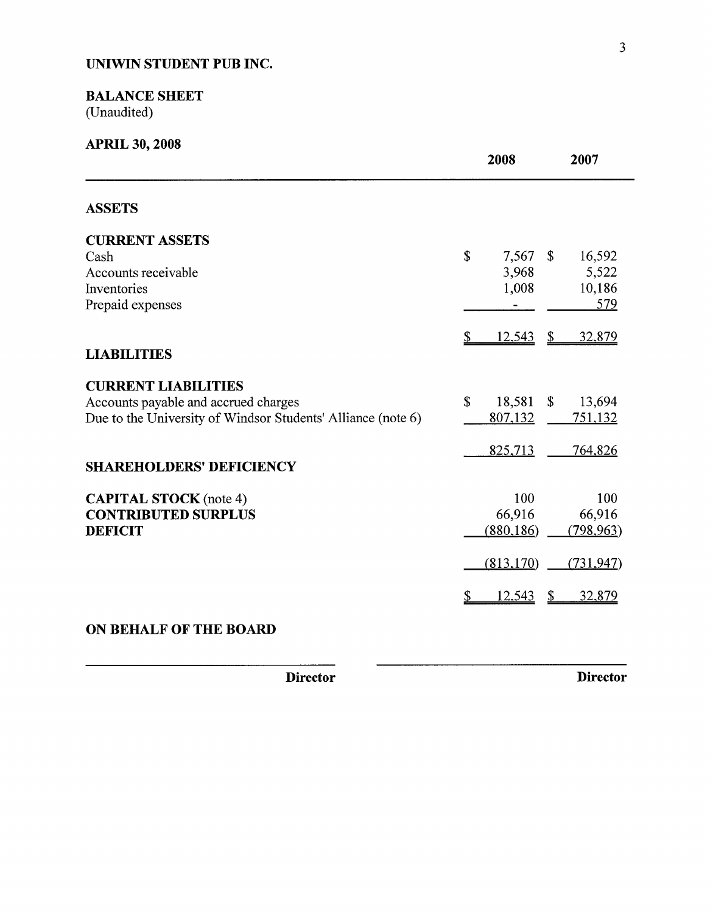## BALANCE SHEET

(Unaudited)

| <b>APRIL 30, 2008</b>                                                                                                              | 2008                                                      | 2007                                           |
|------------------------------------------------------------------------------------------------------------------------------------|-----------------------------------------------------------|------------------------------------------------|
| <b>ASSETS</b>                                                                                                                      |                                                           |                                                |
| <b>CURRENT ASSETS</b><br>Cash<br>Accounts receivable<br>Inventories<br>Prepaid expenses                                            | $\boldsymbol{\mathsf{S}}$<br>$7,567$ \$<br>3,968<br>1,008 | 16,592<br>5,522<br>10,186<br>579               |
| <b>LIABILITIES</b>                                                                                                                 | <u>12,543</u>                                             | $\mathcal{S}$<br>32,879                        |
| <b>CURRENT LIABILITIES</b><br>Accounts payable and accrued charges<br>Due to the University of Windsor Students' Alliance (note 6) | $\mathbf S$<br>18,581<br>807,132                          | $\boldsymbol{\mathsf{S}}$<br>13,694<br>751,132 |
| <b>SHAREHOLDERS' DEFICIENCY</b>                                                                                                    | 825,713                                                   | 764,826                                        |
| <b>CAPITAL STOCK</b> (note 4)<br><b>CONTRIBUTED SURPLUS</b><br><b>DEFICIT</b>                                                      | 100<br>66,916<br>(880, 186)                               | 100<br>66,916<br>(798, 963)                    |
|                                                                                                                                    | (813, 170)                                                | (731, 947)                                     |
|                                                                                                                                    | <u>12,543</u>                                             | 32,879                                         |

## **ON BEHALF OF THE BOARD**

**Director Director**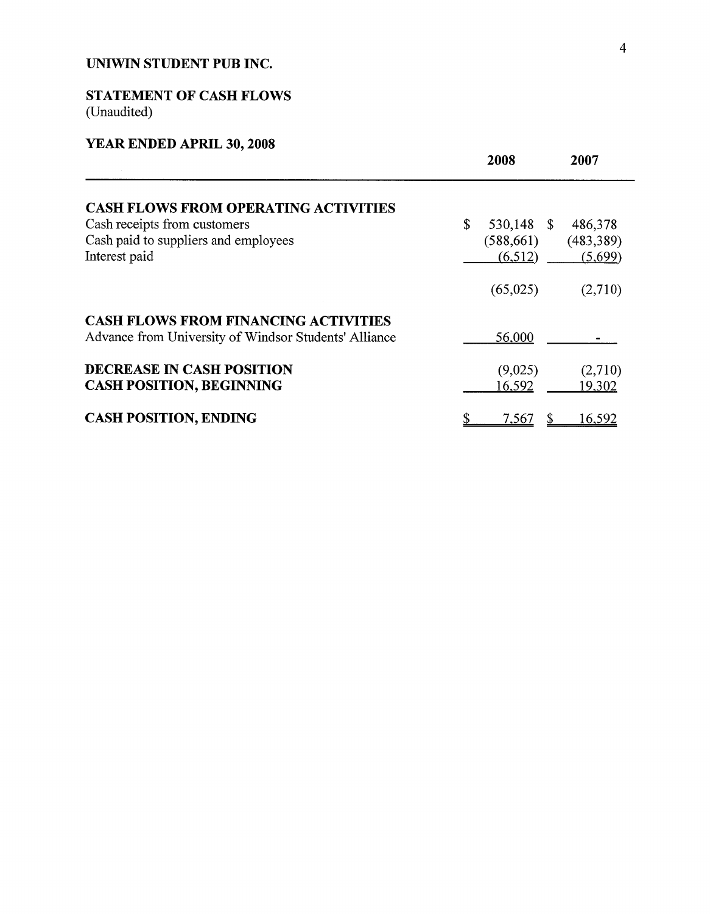# STATEMENT OF CASH **FLOWS**

(Unaudited)

# **YEAR ENDED APRIL 30, 2008**

|                                                                                                      | 2008             | 2007       |
|------------------------------------------------------------------------------------------------------|------------------|------------|
| <b>CASH FLOWS FROM OPERATING ACTIVITIES</b>                                                          |                  |            |
| Cash receipts from customers                                                                         | \$<br>530,148 \$ | 486,378    |
| Cash paid to suppliers and employees                                                                 | (588, 661)       | (483, 389) |
| Interest paid                                                                                        | (6,512)          | (5,699)    |
|                                                                                                      | (65,025)         | (2,710)    |
| <b>CASH FLOWS FROM FINANCING ACTIVITIES</b><br>Advance from University of Windsor Students' Alliance | 56,000           |            |
| <b>DECREASE IN CASH POSITION</b>                                                                     | (9,025)          | (2,710)    |
| <b>CASH POSITION, BEGINNING</b>                                                                      | 16,592           | 19,302     |
| <b>CASH POSITION, ENDING</b>                                                                         | 7,567            | 16,592     |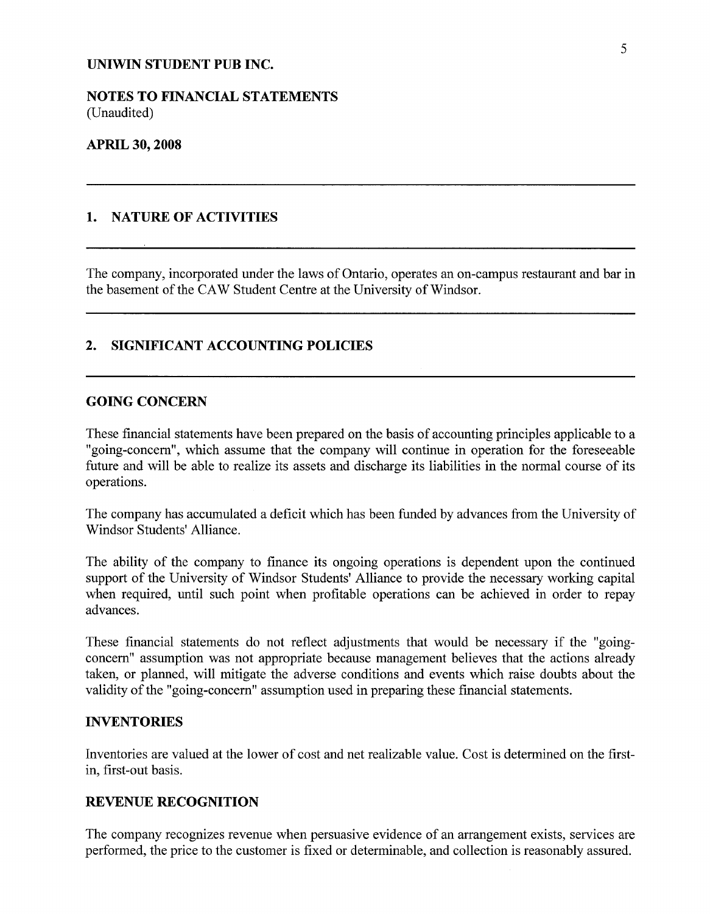NOTES TO FINANCIAL STATEMENTS (Unaudited)

#### **APRIL 30, 2008**

## 1. NATURE OF ACTIVITIES

The company, incorporated under the laws of Ontario, operates an on-campus restaurant and bar in the basement of the CAW Student Centre at the University of Windsor.

### 2. SIGNIFICANT ACCOUNTING POLICIES

### **GOING CONCERN**

These financial statements have been prepared on the basis of accounting principles applicable to a "going-concern", which assume that the company will continue in operation for the foreseeable future and will be able to realize its assets and discharge its liabilities in the normal course of its operations.

The company has accumulated a deficit which has been funded by advances from the University of Windsor Students' Alliance.

The ability of the company to finance its ongoing operations is dependent upon the continued support of the University of Windsor Students' Alliance to provide the necessary working capital when required, until such point when profitable operations can be achieved in order to repay advances.

These financial statements do not reflect adjustments that would be necessary if the "goingconcern" assumption was not appropriate because management believes that the actions already taken, or planned, will mitigate the adverse conditions and events which raise doubts about the validity of the "going-concern" assumption used in preparing these financial statements.

## **INVENTORIES**

Inventories are valued at the lower of cost and net realizable value. Cost is determined on the firstin, first-out basis.

## REVENUE RECOGNITION

The company recognizes revenue when persuasive evidence of an arrangement exists, services are performed, the price to the customer is fixed or determinable, and collection is reasonably assured.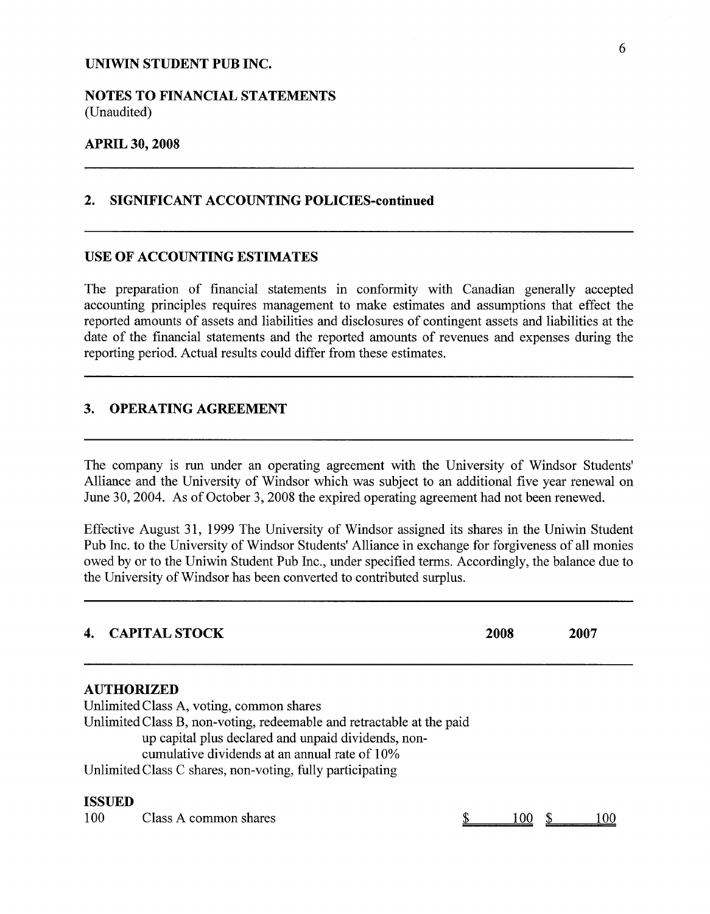NOTES TO FINANCIAL STATEMENTS (Unaudited)

#### **APRIL 30, 2008**

### 2. SIGNIFICANT ACCOUNTING POLICIES-continued

#### USE OF ACCOUNTING ESTIMATES

The preparation of financial statements in conformity with Canadian generally accepted accounting principles requires management to make estimates and assumptions that effect the reported amounts of assets and liabilities and disclosures of contingent assets and liabilities at the date of the financial statements and the reported amounts of revenues and expenses during the reporting period. Actual results could differ from these estimates.

## 3. OPERATING AGREEMENT

The company is run under an operating agreement with the University of Windsor Students' Alliance and the University of Windsor which was subject to an additional five year renewal on June 30, 2004. As of October 3, 2008 the expired operating agreement had not been renewed.

Effective August 31, 1999 The University of Windsor assigned its shares in the Uniwin Student Pub Inc. to the University of Windsor Students' Alliance in exchange for forgiveness of all monies owed by or to the Uniwin Student Pub Inc., under specified terms. Accordingly, the balance due to the University of Windsor has been converted to contributed surplus.

# **4. CAPITAL STOCK <sup>2008</sup> 2007 AUTHORIZED** Unlimited Class A, voting, common shares Unlimited Class B, non-voting, redeemable and retractable at the paid up capital plus declared and unpaid dividends, noncumulative dividends at an annual rate of 10% Unlimited Class C shares, non-voting, fully participating ISSUED 100 Class A common shares 8 100 \$ 100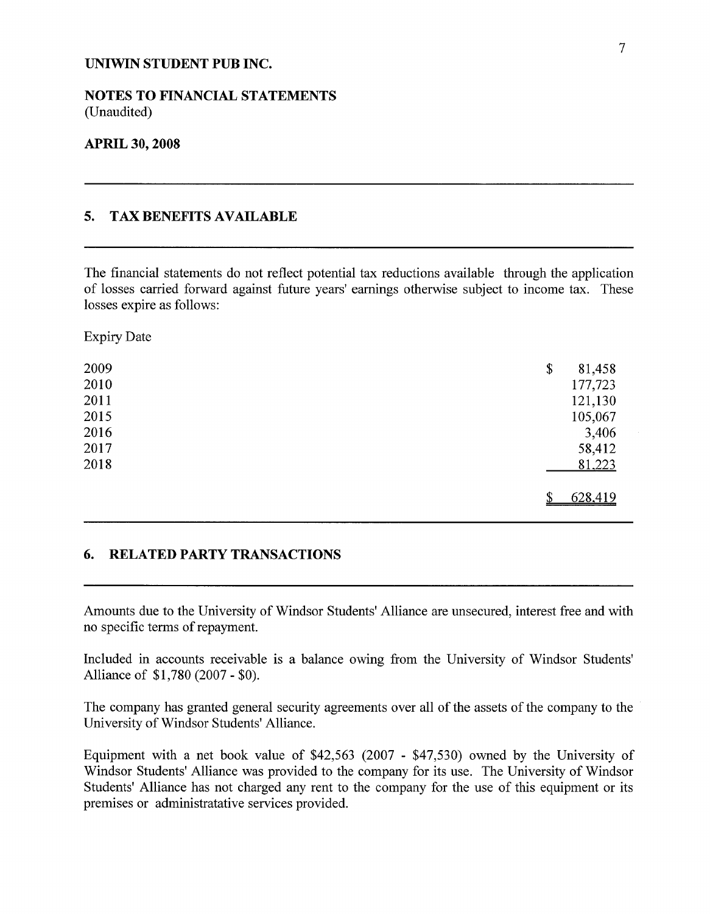NOTES TO FINANCIAL STATEMENTS (Unaudited)

#### **APRIL 30, 2008**

## 5. TAX BENEFITS AVAILABLE

The financial statements do not reflect potential tax reductions available through the application of losses carried forward against future years' earnings otherwise subject to income tax. These losses expire as follows:

Expiry Date

| 2009 | \$<br>81,458 |  |
|------|--------------|--|
| 2010 | 177,723      |  |
| 2011 | 121,130      |  |
| 2015 | 105,067      |  |
| 2016 | 3,406        |  |
| 2017 | 58,412       |  |
| 2018 | 81,223       |  |
|      | 628,419<br>Φ |  |

#### **6. RELATED PARTY TRANSACTIONS**

Amounts due to the University of Windsor Students' Alliance are unsecured, interest free and with no specific terms of repayment.

Included in accounts receivable is a balance owing from the University of Windsor Students' Alliance of \$1,780 (2007 - \$0).

The company has granted general security agreements over all of the assets of the company to the University of Windsor Students' Alliance.

Equipment with a net book value of \$42,563 (2007 - \$47,530) owned by the University of Windsor Students' Alliance was provided to the company for its use. The University of Windsor Students' Alliance has not charged any rent to the company for the use of this equipment or its premises or administratative services provided.